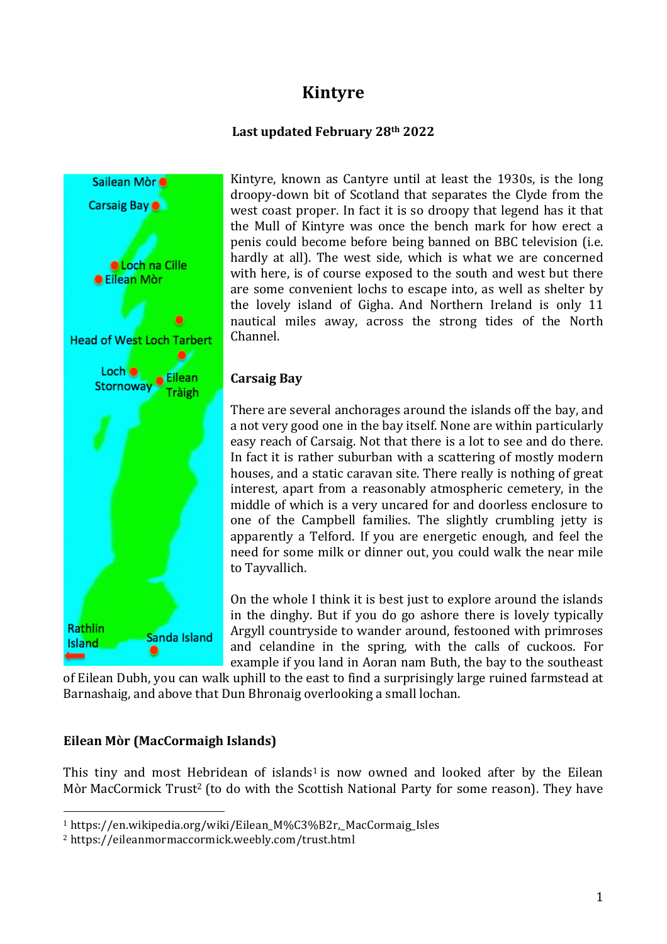# **Kintyre**

## **Last updated February 28th 2022**



Kintyre, known as Cantyre until at least the 1930s, is the long droopy-down bit of Scotland that separates the Clyde from the west coast proper. In fact it is so droopy that legend has it that the Mull of Kintyre was once the bench mark for how erect a penis could become before being banned on BBC television (i.e. hardly at all). The west side, which is what we are concerned with here, is of course exposed to the south and west but there are some convenient lochs to escape into, as well as shelter by the lovely island of Gigha. And Northern Ireland is only 11 nautical miles away, across the strong tides of the North Channel.

## **Carsaig Bay**

There are several anchorages around the islands off the bay, and a not very good one in the bay itself. None are within particularly easy reach of Carsaig. Not that there is a lot to see and do there. In fact it is rather suburban with a scattering of mostly modern houses, and a static caravan site. There really is nothing of great interest, apart from a reasonably atmospheric cemetery, in the middle of which is a very uncared for and doorless enclosure to one of the Campbell families. The slightly crumbling jetty is apparently a Telford. If you are energetic enough, and feel the need for some milk or dinner out, you could walk the near mile to Tayvallich.

On the whole I think it is best just to explore around the islands in the dinghy. But if you do go ashore there is lovely typically Argyll countryside to wander around, festooned with primroses and celandine in the spring, with the calls of cuckoos. For example if you land in Aoran nam Buth, the bay to the southeast

of Eilean Dubh, you can walk uphill to the east to find a surprisingly large ruined farmstead at Barnashaig, and above that Dun Bhronaig overlooking a small lochan.

# **Eilean Mòr (MacCormaigh Islands)**

 

This tiny and most Hebridean of islands<sup>1</sup> is now owned and looked after by the Eilean Mòr MacCormick Trust<sup>2</sup> (to do with the Scottish National Party for some reason). They have

<sup>1</sup> https://en.wikipedia.org/wiki/Eilean\_M%C3%B2r,\_MacCormaig\_Isles

<sup>2</sup> https://eileanmormaccormick.weebly.com/trust.html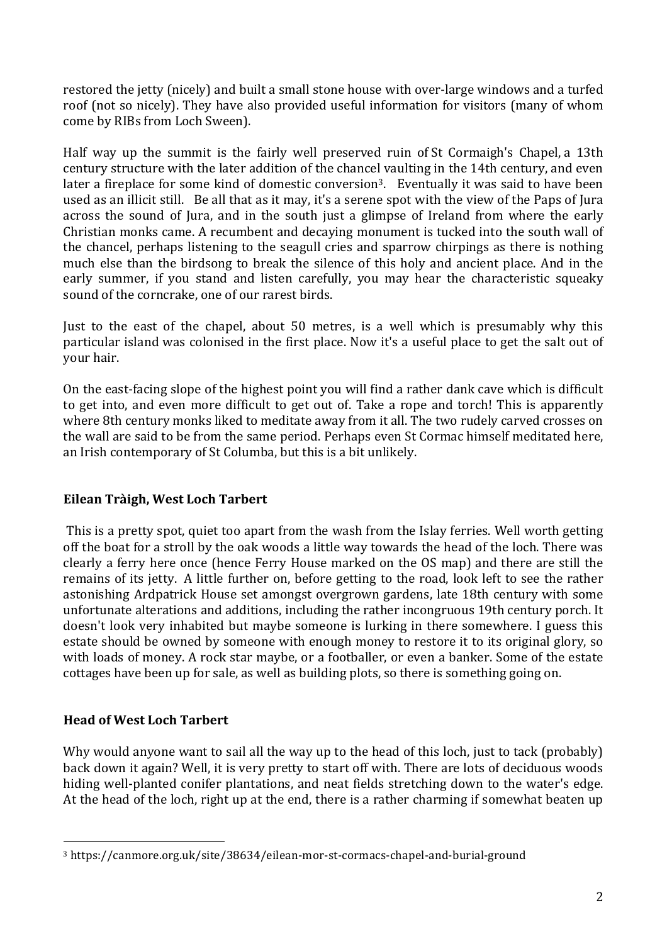restored the jetty (nicely) and built a small stone house with over-large windows and a turfed roof (not so nicely). They have also provided useful information for visitors (many of whom come by RIBs from Loch Sween).

Half way up the summit is the fairly well preserved ruin of St Cormaigh's Chapel, a 13th century structure with the later addition of the chancel vaulting in the 14th century, and even later a fireplace for some kind of domestic conversion<sup>3</sup>. Eventually it was said to have been used as an illicit still. Be all that as it may, it's a serene spot with the view of the Paps of Jura across the sound of Jura, and in the south just a glimpse of Ireland from where the early Christian monks came. A recumbent and decaying monument is tucked into the south wall of the chancel, perhaps listening to the seagull cries and sparrow chirpings as there is nothing much else than the birdsong to break the silence of this holy and ancient place. And in the early summer, if you stand and listen carefully, you may hear the characteristic squeaky sound of the corncrake, one of our rarest birds.

Just to the east of the chapel, about 50 metres, is a well which is presumably why this particular island was colonised in the first place. Now it's a useful place to get the salt out of your hair.

On the east-facing slope of the highest point you will find a rather dank cave which is difficult to get into, and even more difficult to get out of. Take a rope and torch! This is apparently where 8th century monks liked to meditate away from it all. The two rudely carved crosses on the wall are said to be from the same period. Perhaps even St Cormac himself meditated here, an Irish contemporary of St Columba, but this is a bit unlikely.

# **Eilean Tràigh, West Loch Tarbert**

This is a pretty spot, quiet too apart from the wash from the Islay ferries. Well worth getting off the boat for a stroll by the oak woods a little way towards the head of the loch. There was clearly a ferry here once (hence Ferry House marked on the OS map) and there are still the remains of its jetty. A little further on, before getting to the road, look left to see the rather astonishing Ardpatrick House set amongst overgrown gardens, late 18th century with some unfortunate alterations and additions, including the rather incongruous 19th century porch. It doesn't look very inhabited but maybe someone is lurking in there somewhere. I guess this estate should be owned by someone with enough money to restore it to its original glory, so with loads of money. A rock star maybe, or a footballer, or even a banker. Some of the estate cottages have been up for sale, as well as building plots, so there is something going on.

# **Head of West Loch Tarbert**

 

Why would anyone want to sail all the way up to the head of this loch, just to tack (probably) back down it again? Well, it is very pretty to start off with. There are lots of deciduous woods hiding well-planted conifer plantations, and neat fields stretching down to the water's edge. At the head of the loch, right up at the end, there is a rather charming if somewhat beaten up

<sup>3</sup> https://canmore.org.uk/site/38634/eilean-mor-st-cormacs-chapel-and-burial-ground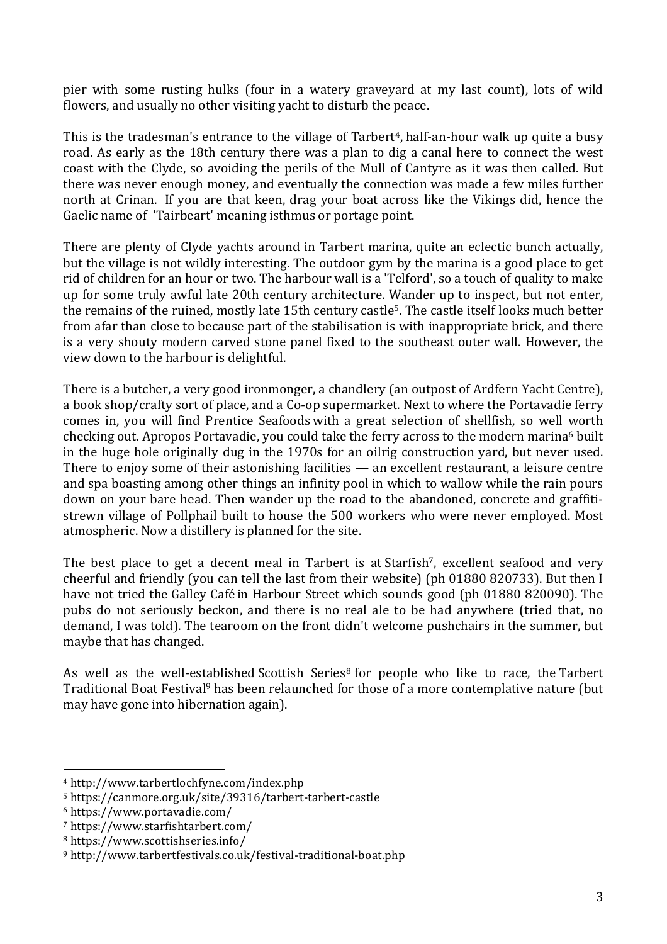pier with some rusting hulks (four in a watery graveyard at my last count), lots of wild flowers, and usually no other visiting yacht to disturb the peace.

This is the tradesman's entrance to the village of Tarbert<sup>4</sup>, half-an-hour walk up quite a busy road. As early as the 18th century there was a plan to dig a canal here to connect the west coast with the Clyde, so avoiding the perils of the Mull of Cantyre as it was then called. But there was never enough money, and eventually the connection was made a few miles further north at Crinan. If you are that keen, drag your boat across like the Vikings did, hence the Gaelic name of 'Tairbeart' meaning isthmus or portage point.

There are plenty of Clyde yachts around in Tarbert marina, quite an eclectic bunch actually, but the village is not wildly interesting. The outdoor gym by the marina is a good place to get rid of children for an hour or two. The harbour wall is a 'Telford', so a touch of quality to make up for some truly awful late 20th century architecture. Wander up to inspect, but not enter, the remains of the ruined, mostly late 15th century castle<sup>5</sup>. The castle itself looks much better from afar than close to because part of the stabilisation is with inappropriate brick, and there is a very shouty modern carved stone panel fixed to the southeast outer wall. However, the view down to the harbour is delightful.

There is a butcher, a very good ironmonger, a chandlery (an outpost of Ardfern Yacht Centre), a book shop/crafty sort of place, and a Co-op supermarket. Next to where the Portavadie ferry comes in, you will find Prentice Seafoods with a great selection of shellfish, so well worth checking out. Apropos Portavadie, you could take the ferry across to the modern marina<sup>6</sup> built in the huge hole originally dug in the 1970s for an oilrig construction yard, but never used. There to enjoy some of their astonishing facilities — an excellent restaurant, a leisure centre and spa boasting among other things an infinity pool in which to wallow while the rain pours down on your bare head. Then wander up the road to the abandoned, concrete and graffitistrewn village of Pollphail built to house the 500 workers who were never employed. Most atmospheric. Now a distillery is planned for the site.

The best place to get a decent meal in Tarbert is at Starfish<sup>7</sup>, excellent seafood and very cheerful and friendly (you can tell the last from their website) (ph 01880 820733). But then I have not tried the Galley Café in Harbour Street which sounds good (ph 01880 820090). The pubs do not seriously beckon, and there is no real ale to be had anywhere (tried that, no demand, I was told). The tearoom on the front didn't welcome pushchairs in the summer, but maybe that has changed.

As well as the well-established Scottish Series<sup>8</sup> for people who like to race, the Tarbert Traditional Boat Festival<sup>9</sup> has been relaunched for those of a more contemplative nature (but may have gone into hibernation again).

 

<sup>4</sup> http://www.tarbertlochfyne.com/index.php

<sup>5</sup> https://canmore.org.uk/site/39316/tarbert-tarbert-castle

<sup>6</sup> https://www.portavadie.com/

<sup>7</sup> https://www.starfishtarbert.com/

<sup>8</sup> https://www.scottishseries.info/

<sup>9</sup> http://www.tarbertfestivals.co.uk/festival-traditional-boat.php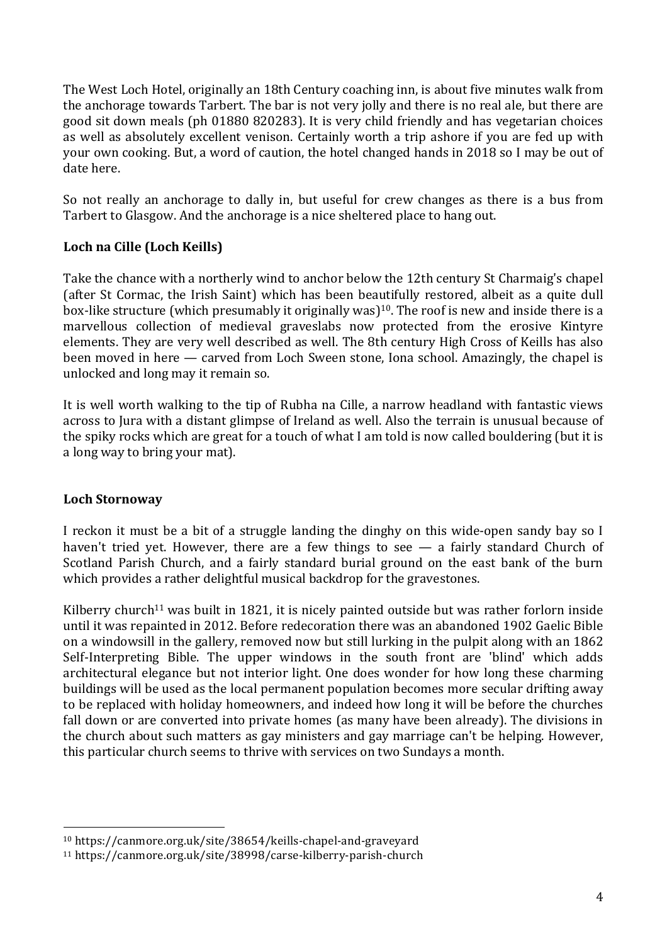The West Loch Hotel, originally an 18th Century coaching inn, is about five minutes walk from the anchorage towards Tarbert. The bar is not very jolly and there is no real ale, but there are good sit down meals (ph 01880 820283). It is very child friendly and has vegetarian choices as well as absolutely excellent venison. Certainly worth a trip ashore if you are fed up with your own cooking. But, a word of caution, the hotel changed hands in 2018 so I may be out of date here.

So not really an anchorage to dally in, but useful for crew changes as there is a bus from Tarbert to Glasgow. And the anchorage is a nice sheltered place to hang out.

# **Loch na Cille (Loch Keills)**

Take the chance with a northerly wind to anchor below the 12th century St Charmaig's chapel (after St Cormac, the Irish Saint) which has been beautifully restored, albeit as a quite dull box-like structure (which presumably it originally was)<sup>10</sup>. The roof is new and inside there is a marvellous collection of medieval graveslabs now protected from the erosive Kintyre elements. They are very well described as well. The 8th century High Cross of Keills has also been moved in here — carved from Loch Sween stone, Iona school. Amazingly, the chapel is unlocked and long may it remain so.

It is well worth walking to the tip of Rubha na Cille, a narrow headland with fantastic views across to Jura with a distant glimpse of Ireland as well. Also the terrain is unusual because of the spiky rocks which are great for a touch of what I am told is now called bouldering (but it is a long way to bring your mat).

#### **Loch Stornoway**

 

I reckon it must be a bit of a struggle landing the dinghy on this wide-open sandy bay so I haven't tried yet. However, there are a few things to see — a fairly standard Church of Scotland Parish Church, and a fairly standard burial ground on the east bank of the burn which provides a rather delightful musical backdrop for the gravestones.

Kilberry church<sup>11</sup> was built in 1821, it is nicely painted outside but was rather forlorn inside until it was repainted in 2012. Before redecoration there was an abandoned 1902 Gaelic Bible on a windowsill in the gallery, removed now but still lurking in the pulpit along with an 1862 Self-Interpreting Bible. The upper windows in the south front are 'blind' which adds architectural elegance but not interior light. One does wonder for how long these charming buildings will be used as the local permanent population becomes more secular drifting away to be replaced with holiday homeowners, and indeed how long it will be before the churches fall down or are converted into private homes (as many have been already). The divisions in the church about such matters as gay ministers and gay marriage can't be helping. However, this particular church seems to thrive with services on two Sundays a month.

<sup>10</sup> https://canmore.org.uk/site/38654/keills-chapel-and-graveyard

<sup>11</sup> https://canmore.org.uk/site/38998/carse-kilberry-parish-church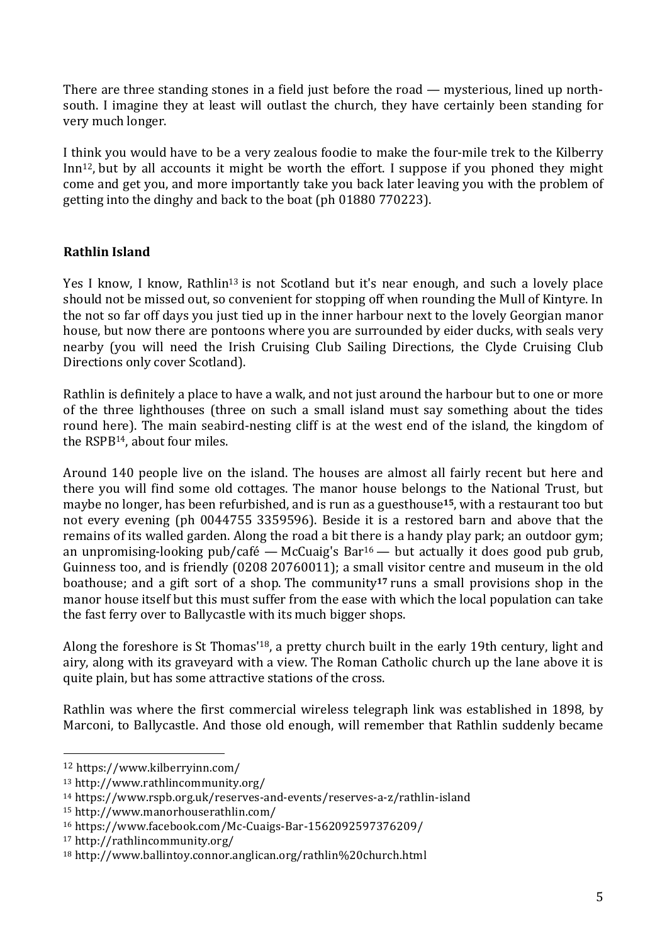There are three standing stones in a field just before the road — mysterious, lined up northsouth. I imagine they at least will outlast the church, they have certainly been standing for very much longer.

I think you would have to be a very zealous foodie to make the four-mile trek to the Kilberry Inn<sup>12</sup>, but by all accounts it might be worth the effort. I suppose if you phoned they might come and get you, and more importantly take you back later leaving you with the problem of getting into the dinghy and back to the boat (ph 01880 770223).

# **Rathlin Island**

Yes I know, I know, Rathlin<sup>13</sup> is not Scotland but it's near enough, and such a lovely place should not be missed out, so convenient for stopping off when rounding the Mull of Kintyre. In the not so far off days you just tied up in the inner harbour next to the lovely Georgian manor house, but now there are pontoons where you are surrounded by eider ducks, with seals very nearby (you will need the Irish Cruising Club Sailing Directions, the Clyde Cruising Club Directions only cover Scotland).

Rathlin is definitely a place to have a walk, and not just around the harbour but to one or more of the three lighthouses (three on such a small island must say something about the tides round here). The main seabird-nesting cliff is at the west end of the island, the kingdom of the RSPB14, about four miles.

Around 140 people live on the island. The houses are almost all fairly recent but here and there you will find some old cottages. The manor house belongs to the National Trust, but maybe no longer, has been refurbished, and is run as a guesthouse**15**, with a restaurant too but not every evening (ph 0044755 3359596). Beside it is a restored barn and above that the remains of its walled garden. Along the road a bit there is a handy play park; an outdoor gym; an unpromising-looking pub/café — McCuaig's Bar<sup>16</sup> — but actually it does good pub grub, Guinness too, and is friendly (0208 20760011); a small visitor centre and museum in the old boathouse; and a gift sort of a shop. The community**<sup>17</sup>** runs a small provisions shop in the manor house itself but this must suffer from the ease with which the local population can take the fast ferry over to Ballycastle with its much bigger shops.

Along the foreshore is St Thomas'18, a pretty church built in the early 19th century, light and airy, along with its graveyard with a view. The Roman Catholic church up the lane above it is quite plain, but has some attractive stations of the cross.

Rathlin was where the first commercial wireless telegraph link was established in 1898, by Marconi, to Ballycastle. And those old enough, will remember that Rathlin suddenly became

 <sup>12</sup> https://www.kilberryinn.com/

<sup>13</sup> http://www.rathlincommunity.org/

<sup>14</sup> https://www.rspb.org.uk/reserves-and-events/reserves-a-z/rathlin-island

<sup>15</sup> http://www.manorhouserathlin.com/

<sup>16</sup> https://www.facebook.com/Mc-Cuaigs-Bar-1562092597376209/

<sup>17</sup> http://rathlincommunity.org/

<sup>18</sup> http://www.ballintoy.connor.anglican.org/rathlin%20church.html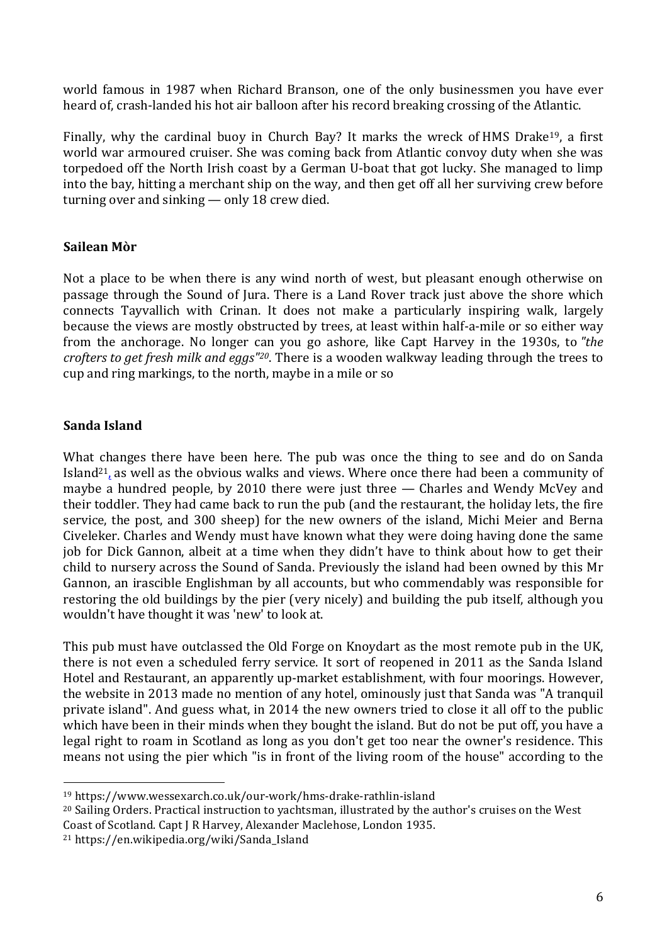world famous in 1987 when Richard Branson, one of the only businessmen you have ever heard of, crash-landed his hot air balloon after his record breaking crossing of the Atlantic.

Finally, why the cardinal buoy in Church Bay? It marks the wreck of HMS Drake<sup>19</sup>, a first world war armoured cruiser. She was coming back from Atlantic convoy duty when she was torpedoed off the North Irish coast by a German U-boat that got lucky. She managed to limp into the bay, hitting a merchant ship on the way, and then get off all her surviving crew before turning over and sinking — only 18 crew died.

## **Sailean Mòr**

Not a place to be when there is any wind north of west, but pleasant enough otherwise on passage through the Sound of Jura. There is a Land Rover track just above the shore which connects Tayvallich with Crinan. It does not make a particularly inspiring walk, largely because the views are mostly obstructed by trees, at least within half-a-mile or so either way from the anchorage. No longer can you go ashore, like Capt Harvey in the 1930s, to *"the crofters to get fresh milk and eggs"20*. There is a wooden walkway leading through the trees to cup and ring markings, to the north, maybe in a mile or so

## **Sanda Island**

What changes there have been here. The pub was once the thing to see and do on Sanda Island21, as well as the obvious walks and views. Where once there had been a community of maybe a hundred people, by 2010 there were just three — Charles and Wendy McVey and their toddler. They had came back to run the pub (and the restaurant, the holiday lets, the fire service, the post, and 300 sheep) for the new owners of the island, Michi Meier and Berna Civeleker. Charles and Wendy must have known what they were doing having done the same job for Dick Gannon, albeit at a time when they didn't have to think about how to get their child to nursery across the Sound of Sanda. Previously the island had been owned by this Mr Gannon, an irascible Englishman by all accounts, but who commendably was responsible for restoring the old buildings by the pier (very nicely) and building the pub itself, although you wouldn't have thought it was 'new' to look at.

This pub must have outclassed the Old Forge on Knoydart as the most remote pub in the UK, there is not even a scheduled ferry service. It sort of reopened in 2011 as the Sanda Island Hotel and Restaurant, an apparently up-market establishment, with four moorings. However, the website in 2013 made no mention of any hotel, ominously just that Sanda was "A tranquil private island". And guess what, in 2014 the new owners tried to close it all off to the public which have been in their minds when they bought the island. But do not be put off, you have a legal right to roam in Scotland as long as you don't get too near the owner's residence. This means not using the pier which "is in front of the living room of the house" according to the

<sup>21</sup> https://en.wikipedia.org/wiki/Sanda\_Island

 

<sup>19</sup> https://www.wessexarch.co.uk/our-work/hms-drake-rathlin-island

<sup>20</sup> Sailing Orders. Practical instruction to yachtsman, illustrated by the author's cruises on the West Coast of Scotland. Capt J R Harvey, Alexander Maclehose, London 1935.